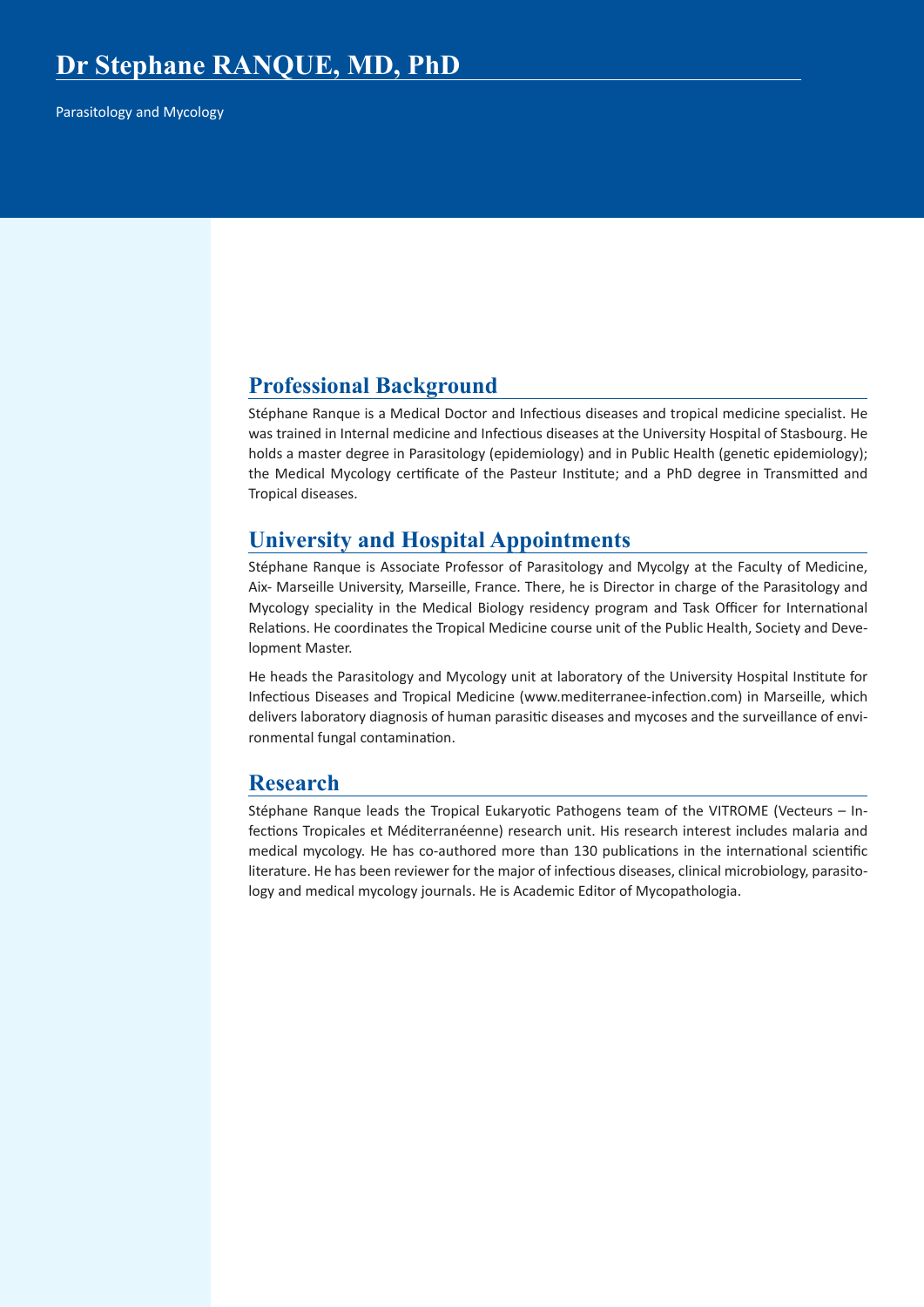Parasitology and Mycology

## **Professional Background**

Stéphane Ranque is a Medical Doctor and Infectious diseases and tropical medicine specialist. He was trained in Internal medicine and Infectious diseases at the University Hospital of Stasbourg. He holds a master degree in Parasitology (epidemiology) and in Public Health (genetic epidemiology); the Medical Mycology certificate of the Pasteur Institute; and a PhD degree in Transmitted and Tropical diseases.

## **University and Hospital Appointments**

Stéphane Ranque is Associate Professor of Parasitology and Mycolgy at the Faculty of Medicine, Aix- Marseille University, Marseille, France. There, he is Director in charge of the Parasitology and Mycology speciality in the Medical Biology residency program and Task Officer for International Relations. He coordinates the Tropical Medicine course unit of the Public Health, Society and Development Master.

He heads the Parasitology and Mycology unit at laboratory of the University Hospital Institute for Infectious Diseases and Tropical Medicine (www.mediterranee-infection.com) in Marseille, which delivers laboratory diagnosis of human parasitic diseases and mycoses and the surveillance of environmental fungal contamination.

## **Research**

Stéphane Ranque leads the Tropical Eukaryotic Pathogens team of the VITROME (Vecteurs – Infections Tropicales et Méditerranéenne) research unit. His research interest includes malaria and medical mycology. He has co-authored more than 130 publications in the international scientific literature. He has been reviewer for the major of infectious diseases, clinical microbiology, parasitology and medical mycology journals. He is Academic Editor of Mycopathologia.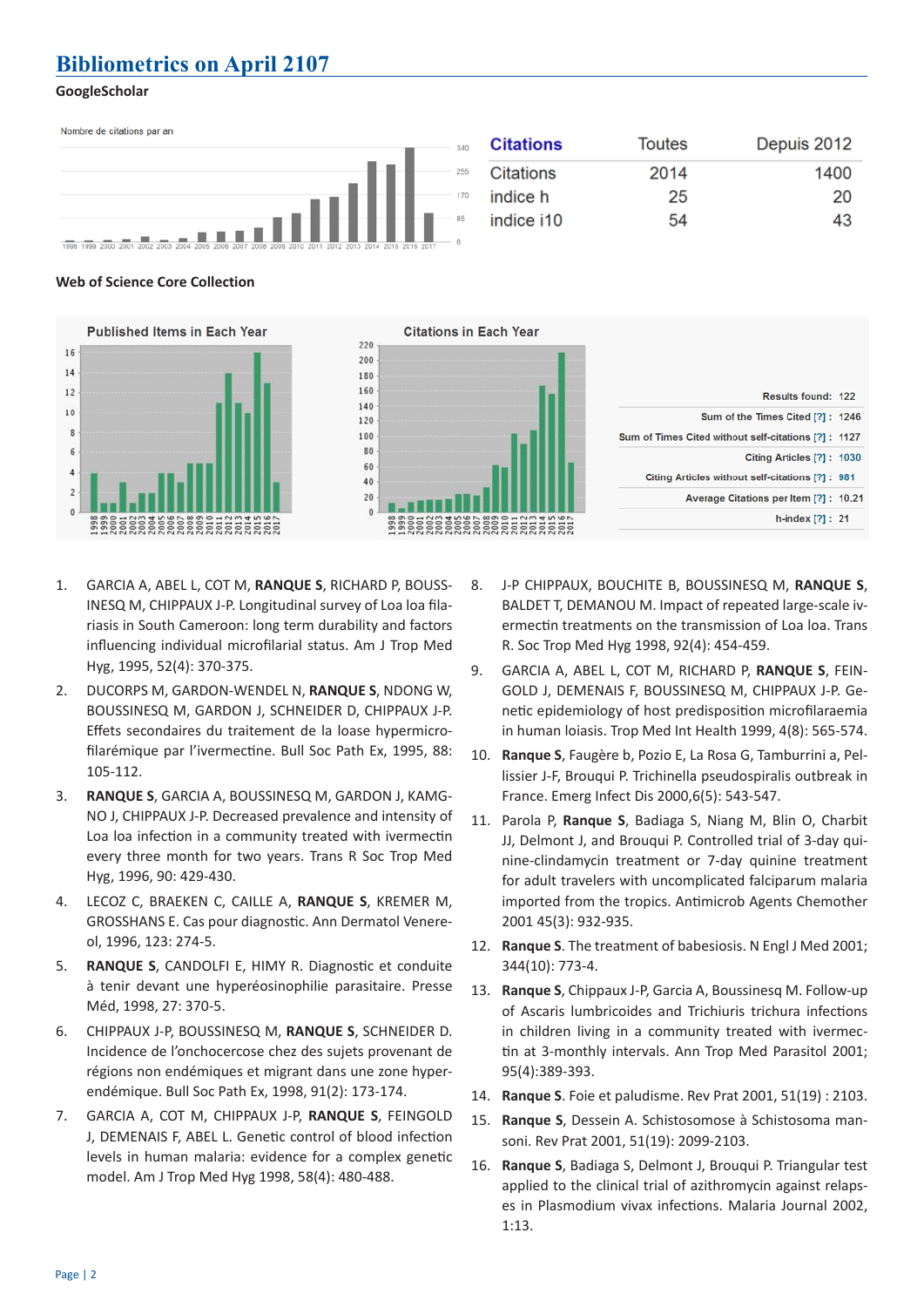# **Bibliometrics on April 2107**

### **GoogleScholar**

| Nombre de citations par an                                                                          | <b>Citations</b><br>340 | Toutes | Depuis 2012 |
|-----------------------------------------------------------------------------------------------------|-------------------------|--------|-------------|
| $\equiv$                                                                                            | Citations<br>255        | 2014   | 1400        |
|                                                                                                     | indice h<br>170         | 25     | 20          |
| 1998 1999 2000 2001 2002 2003 2004 2005 2006 2007 2008 2009 2010 2011 2012 2013 2014 2015 2016 2017 | indice i10              | 54     | 43          |

#### **Web of Science Core Collection**



- 1. GARCIA A, ABEL L, COT M, **RANQUE S**, RICHARD P, BOUSS-INESQ M, CHIPPAUX J-P. Longitudinal survey of Loa loa filariasis in South Cameroon: long term durability and factors influencing individual microfilarial status. Am J Trop Med Hyg, 1995, 52(4): 370-375.
- 2. DUCORPS M, GARDON-WENDEL N, **RANQUE S**, NDONG W, BOUSSINESQ M, GARDON J, SCHNEIDER D, CHIPPAUX J-P. Effets secondaires du traitement de la loase hypermicrofilarémique par l'ivermectine. Bull Soc Path Ex, 1995, 88: 105-112.
- 3. **RANQUE S**, GARCIA A, BOUSSINESQ M, GARDON J, KAMG-NO J, CHIPPAUX J-P. Decreased prevalence and intensity of Loa loa infection in a community treated with ivermectin every three month for two years. Trans R Soc Trop Med Hyg, 1996, 90: 429-430.
- 4. LECOZ C, BRAEKEN C, CAILLE A, **RANQUE S**, KREMER M, GROSSHANS E. Cas pour diagnostic. Ann Dermatol Venereol, 1996, 123: 274-5.
- 5. **RANQUE S**, CANDOLFI E, HIMY R. Diagnostic et conduite à tenir devant une hyperéosinophilie parasitaire. Presse Méd, 1998, 27: 370-5.
- 6. CHIPPAUX J-P, BOUSSINESQ M, **RANQUE S**, SCHNEIDER D. Incidence de l'onchocercose chez des sujets provenant de régions non endémiques et migrant dans une zone hyperendémique. Bull Soc Path Ex, 1998, 91(2): 173-174.
- 7. GARCIA A, COT M, CHIPPAUX J-P, **RANQUE S**, FEINGOLD J, DEMENAIS F, ABEL L. Genetic control of blood infection levels in human malaria: evidence for a complex genetic model. Am J Trop Med Hyg 1998, 58(4): 480-488.
- 8. J-P CHIPPAUX, BOUCHITE B, BOUSSINESQ M, **RANQUE S**, BALDET T, DEMANOU M. Impact of repeated large-scale ivermectin treatments on the transmission of Loa loa. Trans R. Soc Trop Med Hyg 1998, 92(4): 454-459.
- 9. GARCIA A, ABEL L, COT M, RICHARD P, **RANQUE S**, FEIN-GOLD J, DEMENAIS F, BOUSSINESQ M, CHIPPAUX J-P. Genetic epidemiology of host predisposition microfilaraemia in human loiasis. Trop Med Int Health 1999, 4(8): 565-574.
- 10. **Ranque S**, Faugère b, Pozio E, La Rosa G, Tamburrini a, Pellissier J-F, Brouqui P. Trichinella pseudospiralis outbreak in France. Emerg Infect Dis 2000,6(5): 543-547.
- 11. Parola P, **Ranque S**, Badiaga S, Niang M, Blin O, Charbit JJ, Delmont J, and Brouqui P. Controlled trial of 3-day quinine-clindamycin treatment or 7-day quinine treatment for adult travelers with uncomplicated falciparum malaria imported from the tropics. Antimicrob Agents Chemother 2001 45(3): 932-935.
- 12. **Ranque S**. The treatment of babesiosis. N Engl J Med 2001; 344(10): 773-4.
- 13. **Ranque S**, Chippaux J-P, Garcia A, Boussinesq M. Follow-up of Ascaris lumbricoides and Trichiuris trichura infections in children living in a community treated with ivermectin at 3-monthly intervals. Ann Trop Med Parasitol 2001; 95(4):389-393.
- 14. **Ranque S**. Foie et paludisme. Rev Prat 2001, 51(19) : 2103.
- 15. **Ranque S**, Dessein A. Schistosomose à Schistosoma mansoni. Rev Prat 2001, 51(19): 2099-2103.
- 16. **Ranque S**, Badiaga S, Delmont J, Brouqui P. Triangular test applied to the clinical trial of azithromycin against relapses in Plasmodium vivax infections. Malaria Journal 2002, 1:13.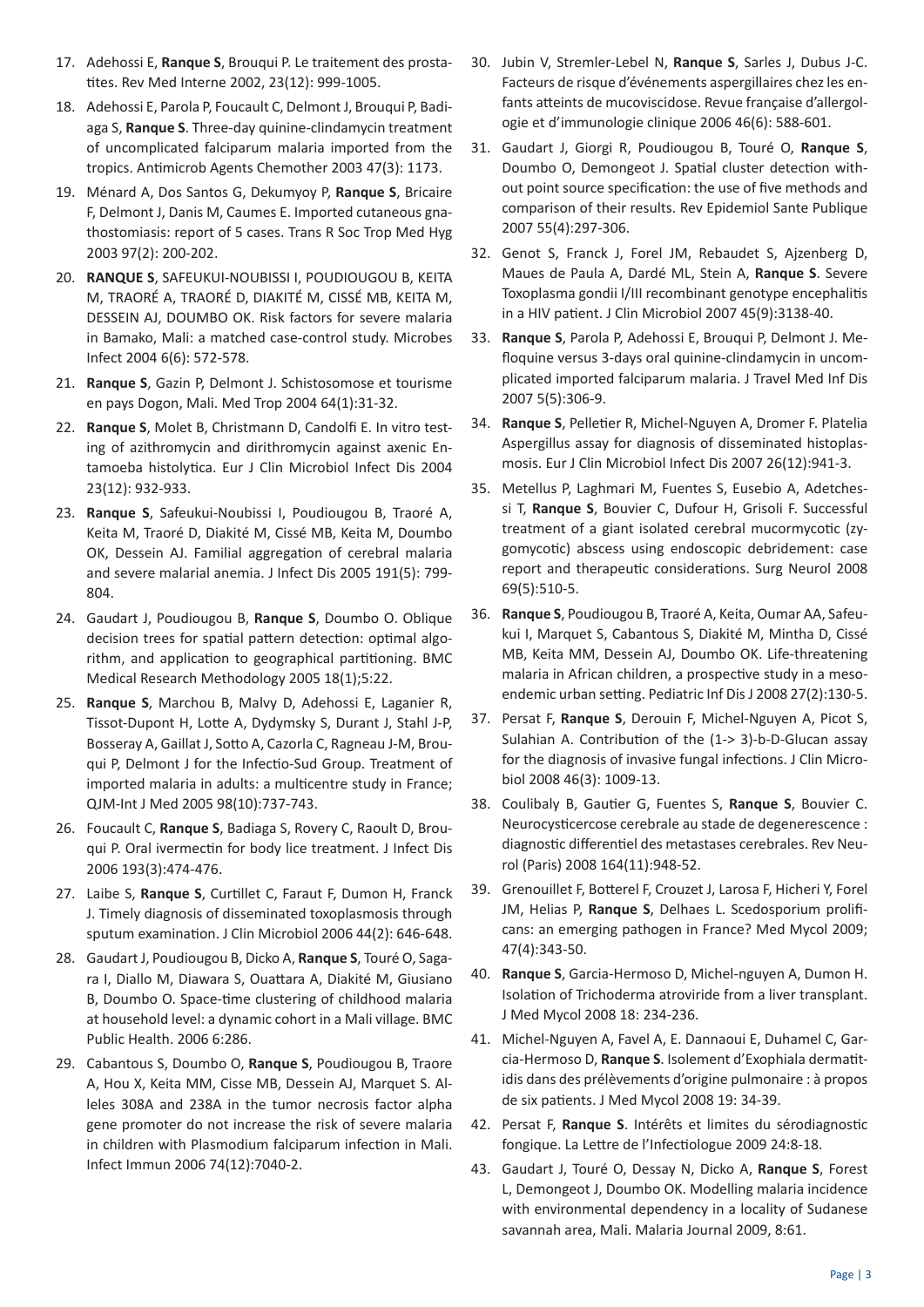- 17. Adehossi E, **Ranque S**, Brouqui P. Le traitement des prostatites. Rev Med Interne 2002, 23(12): 999-1005.
- 18. Adehossi E, Parola P, Foucault C, Delmont J, Brouqui P, Badiaga S, **Ranque S**. Three-day quinine-clindamycin treatment of uncomplicated falciparum malaria imported from the tropics. Antimicrob Agents Chemother 2003 47(3): 1173.
- 19. Ménard A, Dos Santos G, Dekumyoy P, **Ranque S**, Bricaire F, Delmont J, Danis M, Caumes E. Imported cutaneous gnathostomiasis: report of 5 cases. Trans R Soc Trop Med Hyg 2003 97(2): 200-202.
- 20. **RANQUE S**, SAFEUKUI-NOUBISSI I, POUDIOUGOU B, KEITA M, TRAORÉ A, TRAORÉ D, DIAKITÉ M, CISSÉ MB, KEITA M, DESSEIN AJ, DOUMBO OK. Risk factors for severe malaria in Bamako, Mali: a matched case-control study. Microbes Infect 2004 6(6): 572-578.
- 21. **Ranque S**, Gazin P, Delmont J. Schistosomose et tourisme en pays Dogon, Mali. Med Trop 2004 64(1):31-32.
- 22. **Ranque S**, Molet B, Christmann D, Candolfi E. In vitro testing of azithromycin and dirithromycin against axenic Entamoeba histolytica. Eur J Clin Microbiol Infect Dis 2004 23(12): 932-933.
- 23. **Ranque S**, Safeukui-Noubissi I, Poudiougou B, Traoré A, Keita M, Traoré D, Diakité M, Cissé MB, Keita M, Doumbo OK, Dessein AJ. Familial aggregation of cerebral malaria and severe malarial anemia. J Infect Dis 2005 191(5): 799- 804.
- 24. Gaudart J, Poudiougou B, **Ranque S**, Doumbo O. Oblique decision trees for spatial pattern detection: optimal algorithm, and application to geographical partitioning. BMC Medical Research Methodology 2005 18(1);5:22.
- 25. **Ranque S**, Marchou B, Malvy D, Adehossi E, Laganier R, Tissot-Dupont H, Lotte A, Dydymsky S, Durant J, Stahl J-P, Bosseray A, Gaillat J, Sotto A, Cazorla C, Ragneau J-M, Brouqui P, Delmont J for the Infectio-Sud Group. Treatment of imported malaria in adults: a multicentre study in France; QJM-Int J Med 2005 98(10):737-743.
- 26. Foucault C, **Ranque S**, Badiaga S, Rovery C, Raoult D, Brouqui P. Oral ivermectin for body lice treatment. J Infect Dis 2006 193(3):474-476.
- 27. Laibe S, **Ranque S**, Curtillet C, Faraut F, Dumon H, Franck J. Timely diagnosis of disseminated toxoplasmosis through sputum examination. J Clin Microbiol 2006 44(2): 646-648.
- 28. Gaudart J, Poudiougou B, Dicko A, **Ranque S**, Touré O, Sagara I, Diallo M, Diawara S, Ouattara A, Diakité M, Giusiano B, Doumbo O. Space-time clustering of childhood malaria at household level: a dynamic cohort in a Mali village. BMC Public Health. 2006 6:286.
- 29. Cabantous S, Doumbo O, **Ranque S**, Poudiougou B, Traore A, Hou X, Keita MM, Cisse MB, Dessein AJ, Marquet S. Alleles 308A and 238A in the tumor necrosis factor alpha gene promoter do not increase the risk of severe malaria in children with Plasmodium falciparum infection in Mali. Infect Immun 2006 74(12):7040-2.
- 30. Jubin V, Stremler-Lebel N, **Ranque S**, Sarles J, Dubus J-C. Facteurs de risque d'événements aspergillaires chez les enfants atteints de mucoviscidose. Revue française d'allergologie et d'immunologie clinique 2006 46(6): 588-601.
- 31. Gaudart J, Giorgi R, Poudiougou B, Touré O, **Ranque S**, Doumbo O, Demongeot J. Spatial cluster detection without point source specification: the use of five methods and comparison of their results. Rev Epidemiol Sante Publique 2007 55(4):297-306.
- 32. Genot S, Franck J, Forel JM, Rebaudet S, Ajzenberg D, Maues de Paula A, Dardé ML, Stein A, **Ranque S**. Severe Toxoplasma gondii I/III recombinant genotype encephalitis in a HIV patient. J Clin Microbiol 2007 45(9):3138-40.
- 33. **Ranque S**, Parola P, Adehossi E, Brouqui P, Delmont J. Mefloquine versus 3-days oral quinine-clindamycin in uncomplicated imported falciparum malaria. J Travel Med Inf Dis 2007 5(5):306-9.
- 34. **Ranque S**, Pelletier R, Michel-Nguyen A, Dromer F. Platelia Aspergillus assay for diagnosis of disseminated histoplasmosis. Eur J Clin Microbiol Infect Dis 2007 26(12):941-3.
- 35. Metellus P, Laghmari M, Fuentes S, Eusebio A, Adetchessi T, **Ranque S**, Bouvier C, Dufour H, Grisoli F. Successful treatment of a giant isolated cerebral mucormycotic (zygomycotic) abscess using endoscopic debridement: case report and therapeutic considerations. Surg Neurol 2008 69(5):510-5.
- 36. **Ranque S**, Poudiougou B, Traoré A, Keita, Oumar AA, Safeukui I, Marquet S, Cabantous S, Diakité M, Mintha D, Cissé MB, Keita MM, Dessein AJ, Doumbo OK. Life-threatening malaria in African children, a prospective study in a mesoendemic urban setting. Pediatric Inf Dis J 2008 27(2):130-5.
- 37. Persat F, **Ranque S**, Derouin F, Michel-Nguyen A, Picot S, Sulahian A. Contribution of the (1-> 3)-b-D-Glucan assay for the diagnosis of invasive fungal infections. J Clin Microbiol 2008 46(3): 1009-13.
- 38. Coulibaly B, Gautier G, Fuentes S, **Ranque S**, Bouvier C. Neurocysticercose cerebrale au stade de degenerescence : diagnostic differentiel des metastases cerebrales. Rev Neurol (Paris) 2008 164(11):948-52.
- 39. Grenouillet F, Botterel F, Crouzet J, Larosa F, Hicheri Y, Forel JM, Helias P, **Ranque S**, Delhaes L. Scedosporium prolificans: an emerging pathogen in France? Med Mycol 2009; 47(4):343-50.
- 40. **Ranque S**, Garcia-Hermoso D, Michel-nguyen A, Dumon H. Isolation of Trichoderma atroviride from a liver transplant. J Med Mycol 2008 18: 234-236.
- 41. Michel-Nguyen A, Favel A, E. Dannaoui E, Duhamel C, Garcia-Hermoso D, **Ranque S**. Isolement d'Exophiala dermatitidis dans des prélèvements d'origine pulmonaire : à propos de six patients. J Med Mycol 2008 19: 34-39.
- 42. Persat F, **Ranque S**. Intérêts et limites du sérodiagnostic fongique. La Lettre de l'Infectiologue 2009 24:8-18.
- 43. Gaudart J, Touré O, Dessay N, Dicko A, **Ranque S**, Forest L, Demongeot J, Doumbo OK. Modelling malaria incidence with environmental dependency in a locality of Sudanese savannah area, Mali. Malaria Journal 2009, 8:61.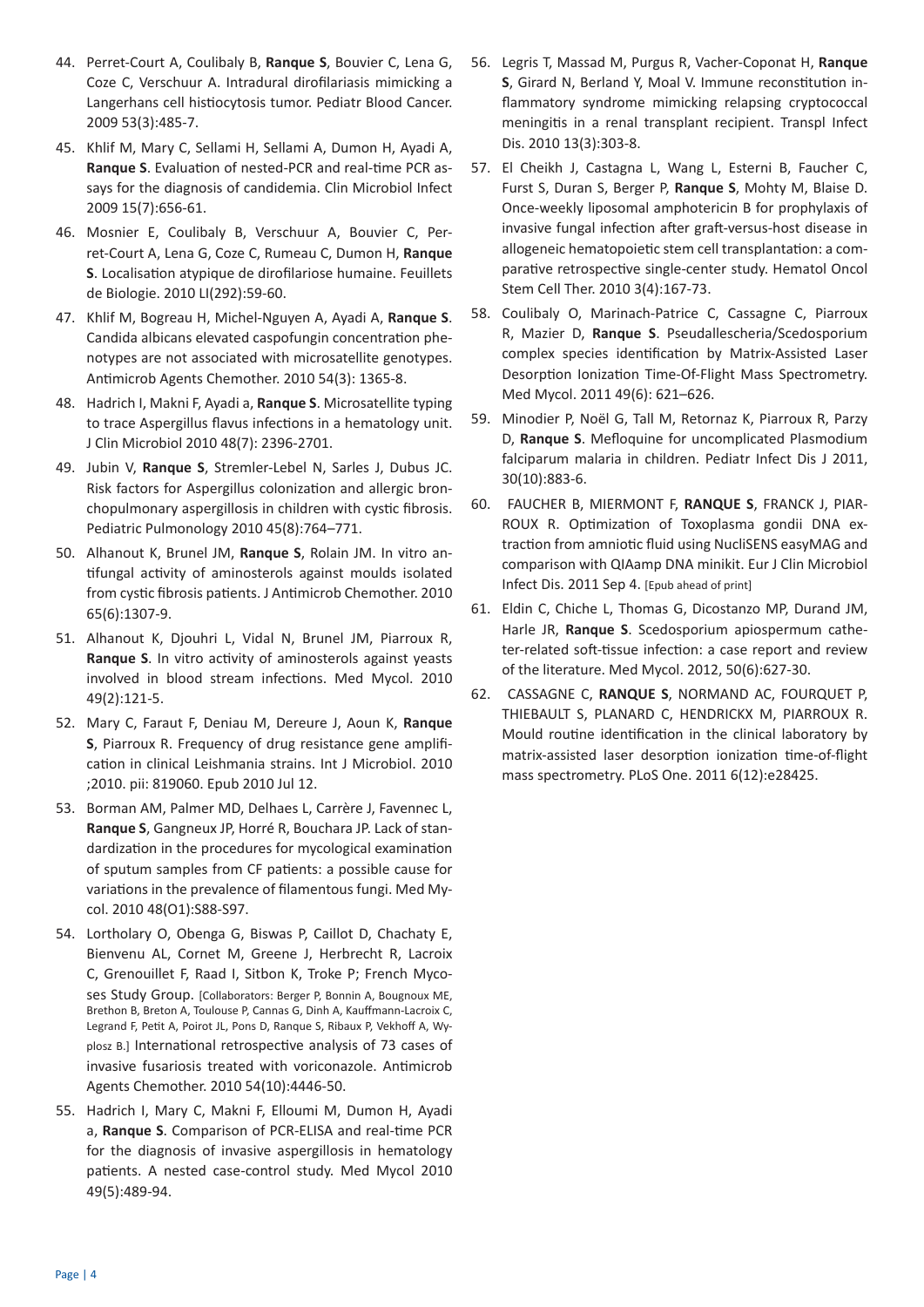- 44. Perret-Court A, Coulibaly B, **Ranque S**, Bouvier C, Lena G, Coze C, Verschuur A. Intradural dirofilariasis mimicking a Langerhans cell histiocytosis tumor. Pediatr Blood Cancer. 2009 53(3):485-7.
- 45. Khlif M, Mary C, Sellami H, Sellami A, Dumon H, Ayadi A, **Ranque S**. Evaluation of nested-PCR and real-time PCR assays for the diagnosis of candidemia. Clin Microbiol Infect 2009 15(7):656-61.
- 46. Mosnier E, Coulibaly B, Verschuur A, Bouvier C, Perret-Court A, Lena G, Coze C, Rumeau C, Dumon H, **Ranque S**. Localisation atypique de dirofilariose humaine. Feuillets de Biologie. 2010 LI(292):59-60.
- 47. Khlif M, Bogreau H, Michel-Nguyen A, Ayadi A, **Ranque S**. Candida albicans elevated caspofungin concentration phenotypes are not associated with microsatellite genotypes. Antimicrob Agents Chemother. 2010 54(3): 1365-8.
- 48. Hadrich I, Makni F, Ayadi a, **Ranque S**. Microsatellite typing to trace Aspergillus flavus infections in a hematology unit. J Clin Microbiol 2010 48(7): 2396-2701.
- 49. Jubin V, **Ranque S**, Stremler-Lebel N, Sarles J, Dubus JC. Risk factors for Aspergillus colonization and allergic bronchopulmonary aspergillosis in children with cystic fibrosis. Pediatric Pulmonology 2010 45(8):764–771.
- 50. Alhanout K, Brunel JM, **Ranque S**, Rolain JM. In vitro antifungal activity of aminosterols against moulds isolated from cystic fibrosis patients. J Antimicrob Chemother. 2010 65(6):1307-9.
- 51. Alhanout K, Djouhri L, Vidal N, Brunel JM, Piarroux R, **Ranque S**. In vitro activity of aminosterols against yeasts involved in blood stream infections. Med Mycol. 2010 49(2):121-5.
- 52. Mary C, Faraut F, Deniau M, Dereure J, Aoun K, **Ranque S**, Piarroux R. Frequency of drug resistance gene amplification in clinical Leishmania strains. Int J Microbiol. 2010 ;2010. pii: 819060. Epub 2010 Jul 12.
- 53. Borman AM, Palmer MD, Delhaes L, Carrère J, Favennec L, **Ranque S**, Gangneux JP, Horré R, Bouchara JP. Lack of standardization in the procedures for mycological examination of sputum samples from CF patients: a possible cause for variations in the prevalence of filamentous fungi. Med Mycol. 2010 48(O1):S88-S97.
- 54. Lortholary O, Obenga G, Biswas P, Caillot D, Chachaty E, Bienvenu AL, Cornet M, Greene J, Herbrecht R, Lacroix C, Grenouillet F, Raad I, Sitbon K, Troke P; French Mycoses Study Group. [Collaborators: Berger P, Bonnin A, Bougnoux ME, Brethon B, Breton A, Toulouse P, Cannas G, Dinh A, Kauffmann-Lacroix C, Legrand F, Petit A, Poirot JL, Pons D, Ranque S, Ribaux P, Vekhoff A, Wyplosz B.] International retrospective analysis of 73 cases of invasive fusariosis treated with voriconazole. Antimicrob Agents Chemother. 2010 54(10):4446-50.
- 55. Hadrich I, Mary C, Makni F, Elloumi M, Dumon H, Ayadi a, **Ranque S**. Comparison of PCR-ELISA and real-time PCR for the diagnosis of invasive aspergillosis in hematology patients. A nested case-control study. Med Mycol 2010 49(5):489-94.
- 56. Legris T, Massad M, Purgus R, Vacher-Coponat H, **Ranque S**, Girard N, Berland Y, Moal V. Immune reconstitution inflammatory syndrome mimicking relapsing cryptococcal meningitis in a renal transplant recipient. Transpl Infect Dis. 2010 13(3):303-8.
- 57. El Cheikh J, Castagna L, Wang L, Esterni B, Faucher C, Furst S, Duran S, Berger P, **Ranque S**, Mohty M, Blaise D. Once-weekly liposomal amphotericin B for prophylaxis of invasive fungal infection after graft-versus-host disease in allogeneic hematopoietic stem cell transplantation: a comparative retrospective single-center study. Hematol Oncol Stem Cell Ther. 2010 3(4):167-73.
- 58. Coulibaly O, Marinach-Patrice C, Cassagne C, Piarroux R, Mazier D, **Ranque S**. Pseudallescheria/Scedosporium complex species identification by Matrix-Assisted Laser Desorption Ionization Time-Of-Flight Mass Spectrometry. Med Mycol. 2011 49(6): 621–626.
- 59. Minodier P, Noël G, Tall M, Retornaz K, Piarroux R, Parzy D, **Ranque S**. Mefloquine for uncomplicated Plasmodium falciparum malaria in children. Pediatr Infect Dis J 2011, 30(10):883-6.
- 60. FAUCHER B, MIERMONT F, **RANQUE S**, FRANCK J, PIAR-ROUX R. Optimization of Toxoplasma gondii DNA extraction from amniotic fluid using NucliSENS easyMAG and comparison with QIAamp DNA minikit. Eur J Clin Microbiol Infect Dis. 2011 Sep 4. [Epub ahead of print]
- 61. Eldin C, Chiche L, Thomas G, Dicostanzo MP, Durand JM, Harle JR, **Ranque S**. Scedosporium apiospermum catheter-related soft-tissue infection: a case report and review of the literature. Med Mycol. 2012, 50(6):627-30.
- 62. CASSAGNE C, **RANQUE S**, NORMAND AC, FOURQUET P, THIEBAULT S, PLANARD C, HENDRICKX M, PIARROUX R. Mould routine identification in the clinical laboratory by matrix-assisted laser desorption ionization time-of-flight mass spectrometry. PLoS One. 2011 6(12):e28425.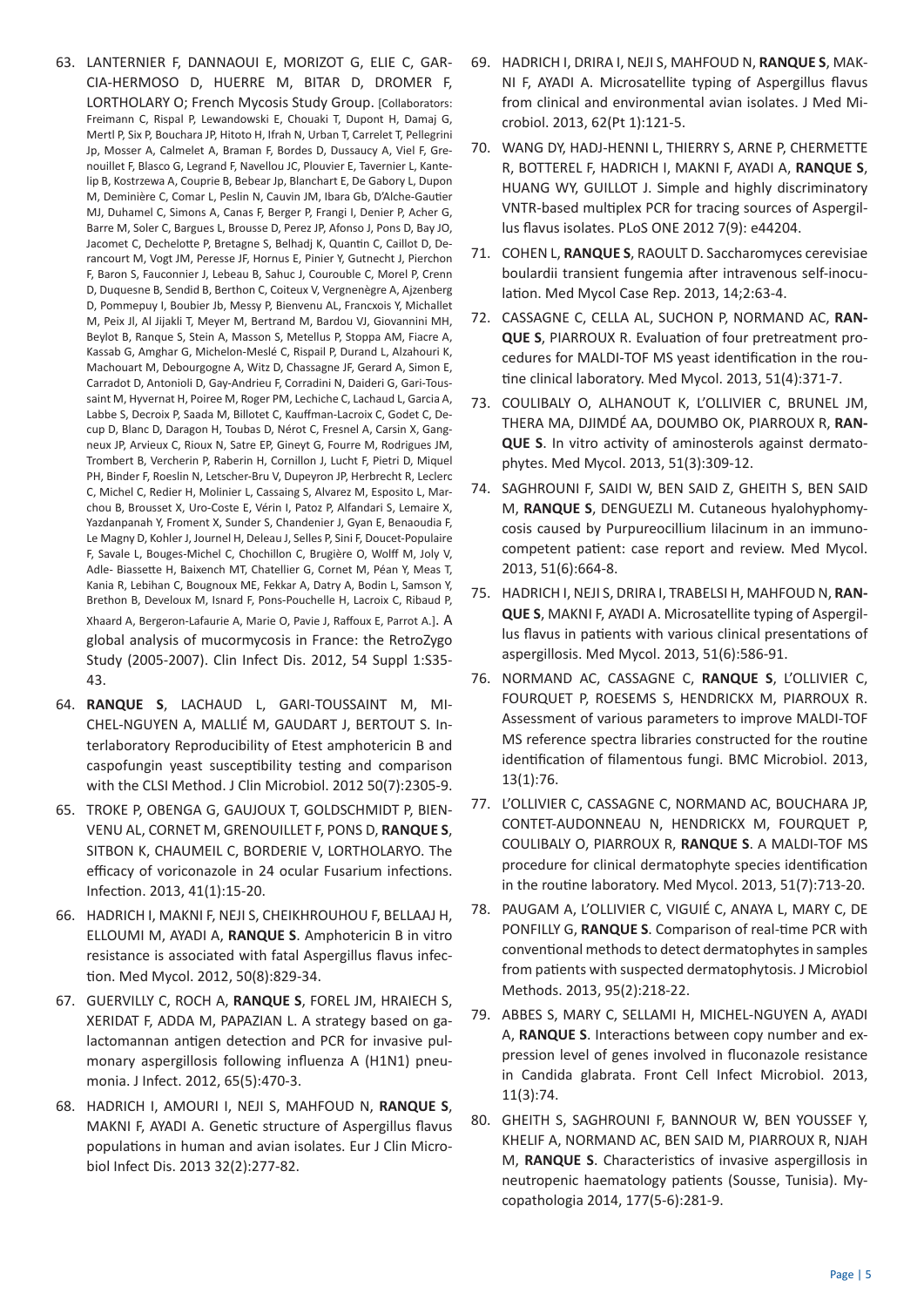- 63. LANTERNIER F, DANNAOUI E, MORIZOT G, ELIE C, GAR-CIA-HERMOSO D, HUERRE M, BITAR D, DROMER F, LORTHOLARY O; French Mycosis Study Group. [Collaborators: Freimann C, Rispal P, Lewandowski E, Chouaki T, Dupont H, Damaj G, Mertl P, Six P, Bouchara JP, Hitoto H, Ifrah N, Urban T, Carrelet T, Pellegrini Jp, Mosser A, Calmelet A, Braman F, Bordes D, Dussaucy A, Viel F, Grenouillet F, Blasco G, Legrand F, Navellou JC, Plouvier E, Tavernier L, Kantelip B, Kostrzewa A, Couprie B, Bebear Jp, Blanchart E, De Gabory L, Dupon M, Deminière C, Comar L, Peslin N, Cauvin JM, Ibara Gb, D'Alche-Gautier MJ, Duhamel C, Simons A, Canas F, Berger P, Frangi I, Denier P, Acher G, Barre M, Soler C, Bargues L, Brousse D, Perez JP, Afonso J, Pons D, Bay JO, Jacomet C, Dechelotte P, Bretagne S, Belhadj K, Quantin C, Caillot D, Derancourt M, Vogt JM, Peresse JF, Hornus E, Pinier Y, Gutnecht J, Pierchon F, Baron S, Fauconnier J, Lebeau B, Sahuc J, Courouble C, Morel P, Crenn D, Duquesne B, Sendid B, Berthon C, Coiteux V, Vergnenègre A, Ajzenberg D, Pommepuy I, Boubier Jb, Messy P, Bienvenu AL, Francxois Y, Michallet M, Peix Jl, Al Jijakli T, Meyer M, Bertrand M, Bardou VJ, Giovannini MH, Beylot B, Ranque S, Stein A, Masson S, Metellus P, Stoppa AM, Fiacre A, Kassab G, Amghar G, Michelon-Meslé C, Rispail P, Durand L, Alzahouri K, Machouart M, Debourgogne A, Witz D, Chassagne JF, Gerard A, Simon E, Carradot D, Antonioli D, Gay-Andrieu F, Corradini N, Daideri G, Gari-Toussaint M, Hyvernat H, Poiree M, Roger PM, Lechiche C, Lachaud L, Garcia A, Labbe S, Decroix P, Saada M, Billotet C, Kauffman-Lacroix C, Godet C, Decup D, Blanc D, Daragon H, Toubas D, Nérot C, Fresnel A, Carsin X, Gangneux JP, Arvieux C, Rioux N, Satre EP, Gineyt G, Fourre M, Rodrigues JM, Trombert B, Vercherin P, Raberin H, Cornillon J, Lucht F, Pietri D, Miquel PH, Binder F, Roeslin N, Letscher-Bru V, Dupeyron JP, Herbrecht R, Leclerc C, Michel C, Redier H, Molinier L, Cassaing S, Alvarez M, Esposito L, Marchou B, Brousset X, Uro-Coste E, Vérin I, Patoz P, Alfandari S, Lemaire X, Yazdanpanah Y, Froment X, Sunder S, Chandenier J, Gyan E, Benaoudia F, Le Magny D, Kohler J, Journel H, Deleau J, Selles P, Sini F, Doucet-Populaire F, Savale L, Bouges-Michel C, Chochillon C, Brugière O, Wolff M, Joly V, Adle- Biassette H, Baixench MT, Chatellier G, Cornet M, Péan Y, Meas T, Kania R, Lebihan C, Bougnoux ME, Fekkar A, Datry A, Bodin L, Samson Y, Brethon B, Develoux M, Isnard F, Pons-Pouchelle H, Lacroix C, Ribaud P, Xhaard A, Bergeron-Lafaurie A, Marie O, Pavie J, Raffoux E, Parrot A.]. A global analysis of mucormycosis in France: the RetroZygo Study (2005-2007). Clin Infect Dis. 2012, 54 Suppl 1:S35- 43.
- 64. **RANQUE S**, LACHAUD L, GARI-TOUSSAINT M, MI-CHEL-NGUYEN A, MALLIÉ M, GAUDART J, BERTOUT S. Interlaboratory Reproducibility of Etest amphotericin B and caspofungin yeast susceptibility testing and comparison with the CLSI Method. J Clin Microbiol. 2012 50(7):2305-9.
- 65. TROKE P, OBENGA G, GAUJOUX T, GOLDSCHMIDT P, BIEN-VENU AL, CORNET M, GRENOUILLET F, PONS D, **RANQUE S**, SITBON K, CHAUMEIL C, BORDERIE V, LORTHOLARYO. The efficacy of voriconazole in 24 ocular Fusarium infections. Infection. 2013, 41(1):15-20.
- 66. HADRICH I, MAKNI F, NEJI S, CHEIKHROUHOU F, BELLAAJ H, ELLOUMI M, AYADI A, **RANQUE S**. Amphotericin B in vitro resistance is associated with fatal Aspergillus flavus infection. Med Mycol. 2012, 50(8):829-34.
- 67. GUERVILLY C, ROCH A, **RANQUE S**, FOREL JM, HRAIECH S, XERIDAT F, ADDA M, PAPAZIAN L. A strategy based on galactomannan antigen detection and PCR for invasive pulmonary aspergillosis following influenza A (H1N1) pneumonia. J Infect. 2012, 65(5):470-3.
- 68. HADRICH I, AMOURI I, NEJI S, MAHFOUD N, **RANQUE S**, MAKNI F, AYADI A. Genetic structure of Aspergillus flavus populations in human and avian isolates. Eur J Clin Microbiol Infect Dis. 2013 32(2):277-82.
- 69. HADRICH I, DRIRA I, NEJI S, MAHFOUD N, **RANQUE S**, MAK-NI F, AYADI A. Microsatellite typing of Aspergillus flavus from clinical and environmental avian isolates. J Med Microbiol. 2013, 62(Pt 1):121-5.
- 70. WANG DY, HADJ-HENNI L, THIERRY S, ARNE P, CHERMETTE R, BOTTEREL F, HADRICH I, MAKNI F, AYADI A, **RANQUE S**, HUANG WY, GUILLOT J. Simple and highly discriminatory VNTR-based multiplex PCR for tracing sources of Aspergillus flavus isolates. PLoS ONE 2012 7(9): e44204.
- 71. COHEN L, **RANQUE S**, RAOULT D. Saccharomyces cerevisiae boulardii transient fungemia after intravenous self-inoculation. Med Mycol Case Rep. 2013, 14;2:63-4.
- 72. CASSAGNE C, CELLA AL, SUCHON P, NORMAND AC, **RAN-QUE S**, PIARROUX R. Evaluation of four pretreatment procedures for MALDI-TOF MS yeast identification in the routine clinical laboratory. Med Mycol. 2013, 51(4):371-7.
- 73. COULIBALY O, ALHANOUT K, L'OLLIVIER C, BRUNEL JM, THERA MA, DJIMDÉ AA, DOUMBO OK, PIARROUX R, **RAN-QUE S**. In vitro activity of aminosterols against dermatophytes. Med Mycol. 2013, 51(3):309-12.
- 74. SAGHROUNI F, SAIDI W, BEN SAID Z, GHEITH S, BEN SAID M, **RANQUE S**, DENGUEZLI M. Cutaneous hyalohyphomycosis caused by Purpureocillium lilacinum in an immunocompetent patient: case report and review. Med Mycol. 2013, 51(6):664-8.
- 75. HADRICH I, NEJI S, DRIRA I, TRABELSI H, MAHFOUD N, **RAN-QUE S**, MAKNI F, AYADI A. Microsatellite typing of Aspergillus flavus in patients with various clinical presentations of aspergillosis. Med Mycol. 2013, 51(6):586-91.
- 76. NORMAND AC, CASSAGNE C, **RANQUE S**, L'OLLIVIER C, FOURQUET P, ROESEMS S, HENDRICKX M, PIARROUX R. Assessment of various parameters to improve MALDI-TOF MS reference spectra libraries constructed for the routine identification of filamentous fungi. BMC Microbiol. 2013, 13(1):76.
- 77. L'OLLIVIER C, CASSAGNE C, NORMAND AC, BOUCHARA JP, CONTET-AUDONNEAU N, HENDRICKX M, FOURQUET P, COULIBALY O, PIARROUX R, **RANQUE S**. A MALDI-TOF MS procedure for clinical dermatophyte species identification in the routine laboratory. Med Mycol. 2013, 51(7):713-20.
- 78. PAUGAM A, L'OLLIVIER C, VIGUIÉ C, ANAYA L, MARY C, DE PONFILLY G, **RANQUE S**. Comparison of real-time PCR with conventional methods to detect dermatophytes in samples from patients with suspected dermatophytosis. J Microbiol Methods. 2013, 95(2):218-22.
- 79. ABBES S, MARY C, SELLAMI H, MICHEL-NGUYEN A, AYADI A, **RANQUE S**. Interactions between copy number and expression level of genes involved in fluconazole resistance in Candida glabrata. Front Cell Infect Microbiol. 2013, 11(3):74.
- 80. GHEITH S, SAGHROUNI F, BANNOUR W, BEN YOUSSEF Y, KHELIF A, NORMAND AC, BEN SAID M, PIARROUX R, NJAH M, **RANQUE S**. Characteristics of invasive aspergillosis in neutropenic haematology patients (Sousse, Tunisia). Mycopathologia 2014, 177(5-6):281-9.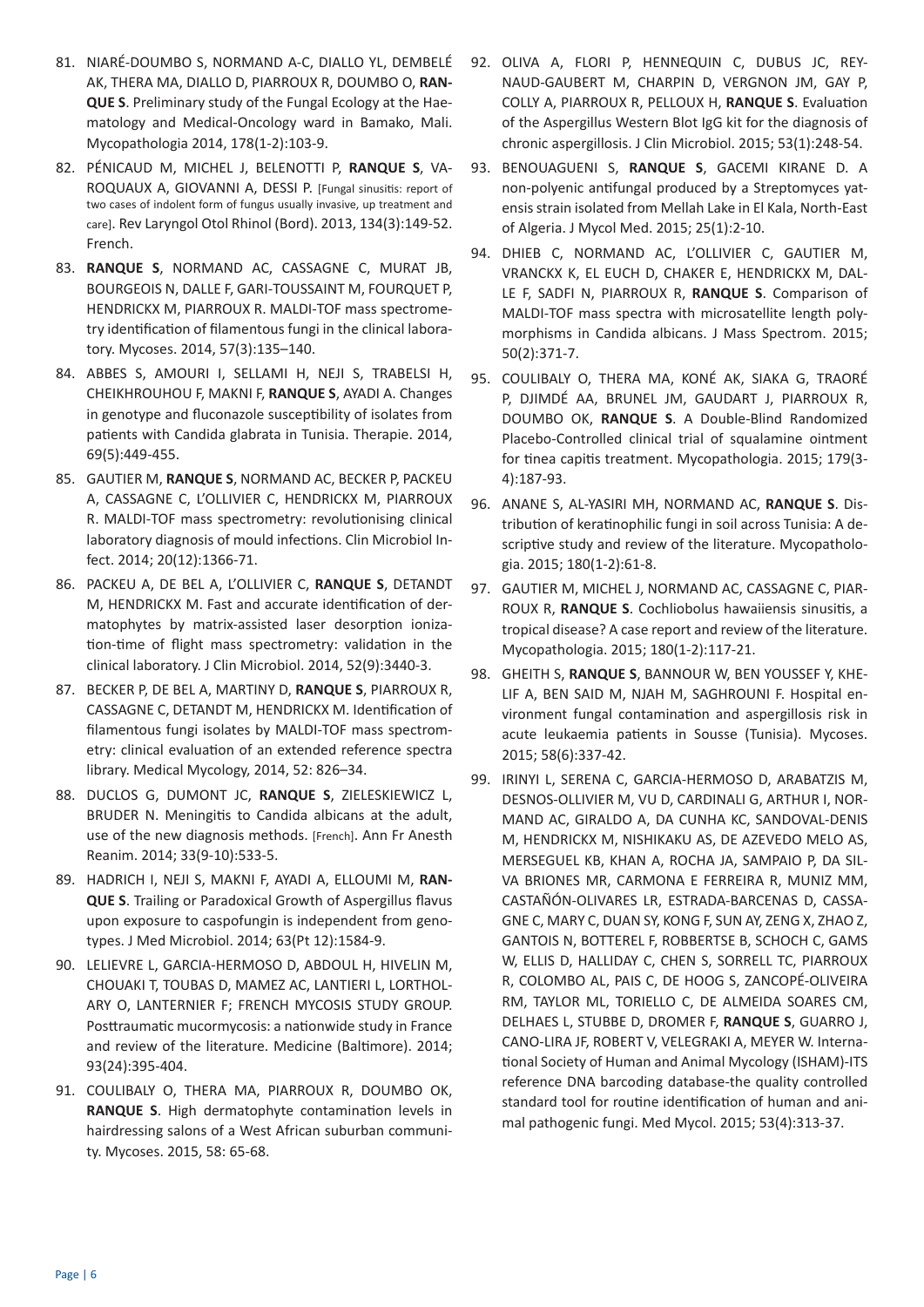- 81. NIARÉ-DOUMBO S, NORMAND A-C, DIALLO YL, DEMBELÉ AK, THERA MA, DIALLO D, PIARROUX R, DOUMBO O, **RAN-QUE S**. Preliminary study of the Fungal Ecology at the Haematology and Medical-Oncology ward in Bamako, Mali. Mycopathologia 2014, 178(1-2):103-9.
- 82. PÉNICAUD M, MICHEL J, BELENOTTI P, **RANQUE S**, VA-ROQUAUX A, GIOVANNI A, DESSI P. [Fungal sinusitis: report of two cases of indolent form of fungus usually invasive, up treatment and care]. Rev Laryngol Otol Rhinol (Bord). 2013, 134(3):149-52. French.
- 83. **RANQUE S**, NORMAND AC, CASSAGNE C, MURAT JB, BOURGEOIS N, DALLE F, GARI-TOUSSAINT M, FOURQUET P, HENDRICKX M, PIARROUX R. MALDI-TOF mass spectrometry identification of filamentous fungi in the clinical laboratory. Mycoses. 2014, 57(3):135–140.
- 84. ABBES S, AMOURI I, SELLAMI H, NEJI S, TRABELSI H, CHEIKHROUHOU F, MAKNI F, **RANQUE S**, AYADI A. Changes in genotype and fluconazole susceptibility of isolates from patients with Candida glabrata in Tunisia. Therapie. 2014, 69(5):449-455.
- 85. GAUTIER M, **RANQUE S**, NORMAND AC, BECKER P, PACKEU A, CASSAGNE C, L'OLLIVIER C, HENDRICKX M, PIARROUX R. MALDI-TOF mass spectrometry: revolutionising clinical laboratory diagnosis of mould infections. Clin Microbiol Infect. 2014; 20(12):1366-71.
- 86. PACKEU A, DE BEL A, L'OLLIVIER C, **RANQUE S**, DETANDT M, HENDRICKX M. Fast and accurate identification of dermatophytes by matrix-assisted laser desorption ionization-time of flight mass spectrometry: validation in the clinical laboratory. J Clin Microbiol. 2014, 52(9):3440-3.
- 87. BECKER P, DE BEL A, MARTINY D, **RANQUE S**, PIARROUX R, CASSAGNE C, DETANDT M, HENDRICKX M. Identification of filamentous fungi isolates by MALDI-TOF mass spectrometry: clinical evaluation of an extended reference spectra library. Medical Mycology, 2014, 52: 826–34.
- 88. DUCLOS G, DUMONT JC, **RANQUE S**, ZIELESKIEWICZ L, BRUDER N. Meningitis to Candida albicans at the adult, use of the new diagnosis methods. [French]. Ann Fr Anesth Reanim. 2014; 33(9-10):533-5.
- 89. HADRICH I, NEJI S, MAKNI F, AYADI A, ELLOUMI M, **RAN-QUE S**. Trailing or Paradoxical Growth of Aspergillus flavus upon exposure to caspofungin is independent from genotypes. J Med Microbiol. 2014; 63(Pt 12):1584-9.
- 90. LELIEVRE L, GARCIA-HERMOSO D, ABDOUL H, HIVELIN M, CHOUAKI T, TOUBAS D, MAMEZ AC, LANTIERI L, LORTHOL-ARY O, LANTERNIER F; FRENCH MYCOSIS STUDY GROUP. Posttraumatic mucormycosis: a nationwide study in France and review of the literature. Medicine (Baltimore). 2014; 93(24):395-404.
- 91. COULIBALY O, THERA MA, PIARROUX R, DOUMBO OK, **RANQUE S**. High dermatophyte contamination levels in hairdressing salons of a West African suburban community. Mycoses. 2015, 58: 65-68.
- 92. OLIVA A, FLORI P, HENNEQUIN C, DUBUS JC, REY-NAUD-GAUBERT M, CHARPIN D, VERGNON JM, GAY P, COLLY A, PIARROUX R, PELLOUX H, **RANQUE S**. Evaluation of the Aspergillus Western Blot IgG kit for the diagnosis of chronic aspergillosis. J Clin Microbiol. 2015; 53(1):248-54.
- 93. BENOUAGUENI S, **RANQUE S**, GACEMI KIRANE D. A non-polyenic antifungal produced by a Streptomyces yatensis strain isolated from Mellah Lake in El Kala, North-East of Algeria. J Mycol Med. 2015; 25(1):2-10.
- 94. DHIEB C, NORMAND AC, L'OLLIVIER C, GAUTIER M, VRANCKX K, EL EUCH D, CHAKER E, HENDRICKX M, DAL-LE F, SADFI N, PIARROUX R, **RANQUE S**. Comparison of MALDI-TOF mass spectra with microsatellite length polymorphisms in Candida albicans. J Mass Spectrom. 2015; 50(2):371-7.
- 95. COULIBALY O, THERA MA, KONÉ AK, SIAKA G, TRAORÉ P, DJIMDÉ AA, BRUNEL JM, GAUDART J, PIARROUX R, DOUMBO OK, **RANQUE S**. A Double-Blind Randomized Placebo-Controlled clinical trial of squalamine ointment for tinea capitis treatment. Mycopathologia. 2015; 179(3- 4):187-93.
- 96. ANANE S, AL-YASIRI MH, NORMAND AC, **RANQUE S**. Distribution of keratinophilic fungi in soil across Tunisia: A descriptive study and review of the literature. Mycopathologia. 2015; 180(1-2):61-8.
- 97. GAUTIER M, MICHEL J, NORMAND AC, CASSAGNE C, PIAR-ROUX R, **RANQUE S**. Cochliobolus hawaiiensis sinusitis, a tropical disease? A case report and review of the literature. Mycopathologia. 2015; 180(1-2):117-21.
- 98. GHEITH S, **RANQUE S**, BANNOUR W, BEN YOUSSEF Y, KHE-LIF A, BEN SAID M, NJAH M, SAGHROUNI F. Hospital environment fungal contamination and aspergillosis risk in acute leukaemia patients in Sousse (Tunisia). Mycoses. 2015; 58(6):337-42.
- 99. IRINYI L, SERENA C, GARCIA-HERMOSO D, ARABATZIS M, DESNOS-OLLIVIER M, VU D, CARDINALI G, ARTHUR I, NOR-MAND AC, GIRALDO A, DA CUNHA KC, SANDOVAL-DENIS M, HENDRICKX M, NISHIKAKU AS, DE AZEVEDO MELO AS, MERSEGUEL KB, KHAN A, ROCHA JA, SAMPAIO P, DA SIL-VA BRIONES MR, CARMONA E FERREIRA R, MUNIZ MM, CASTAÑÓN-OLIVARES LR, ESTRADA-BARCENAS D, CASSA-GNE C, MARY C, DUAN SY, KONG F, SUN AY, ZENG X, ZHAO Z, GANTOIS N, BOTTEREL F, ROBBERTSE B, SCHOCH C, GAMS W, ELLIS D, HALLIDAY C, CHEN S, SORRELL TC, PIARROUX R, COLOMBO AL, PAIS C, DE HOOG S, ZANCOPÉ-OLIVEIRA RM, TAYLOR ML, TORIELLO C, DE ALMEIDA SOARES CM, DELHAES L, STUBBE D, DROMER F, **RANQUE S**, GUARRO J, CANO-LIRA JF, ROBERT V, VELEGRAKI A, MEYER W. International Society of Human and Animal Mycology (ISHAM)-ITS reference DNA barcoding database-the quality controlled standard tool for routine identification of human and animal pathogenic fungi. Med Mycol. 2015; 53(4):313-37.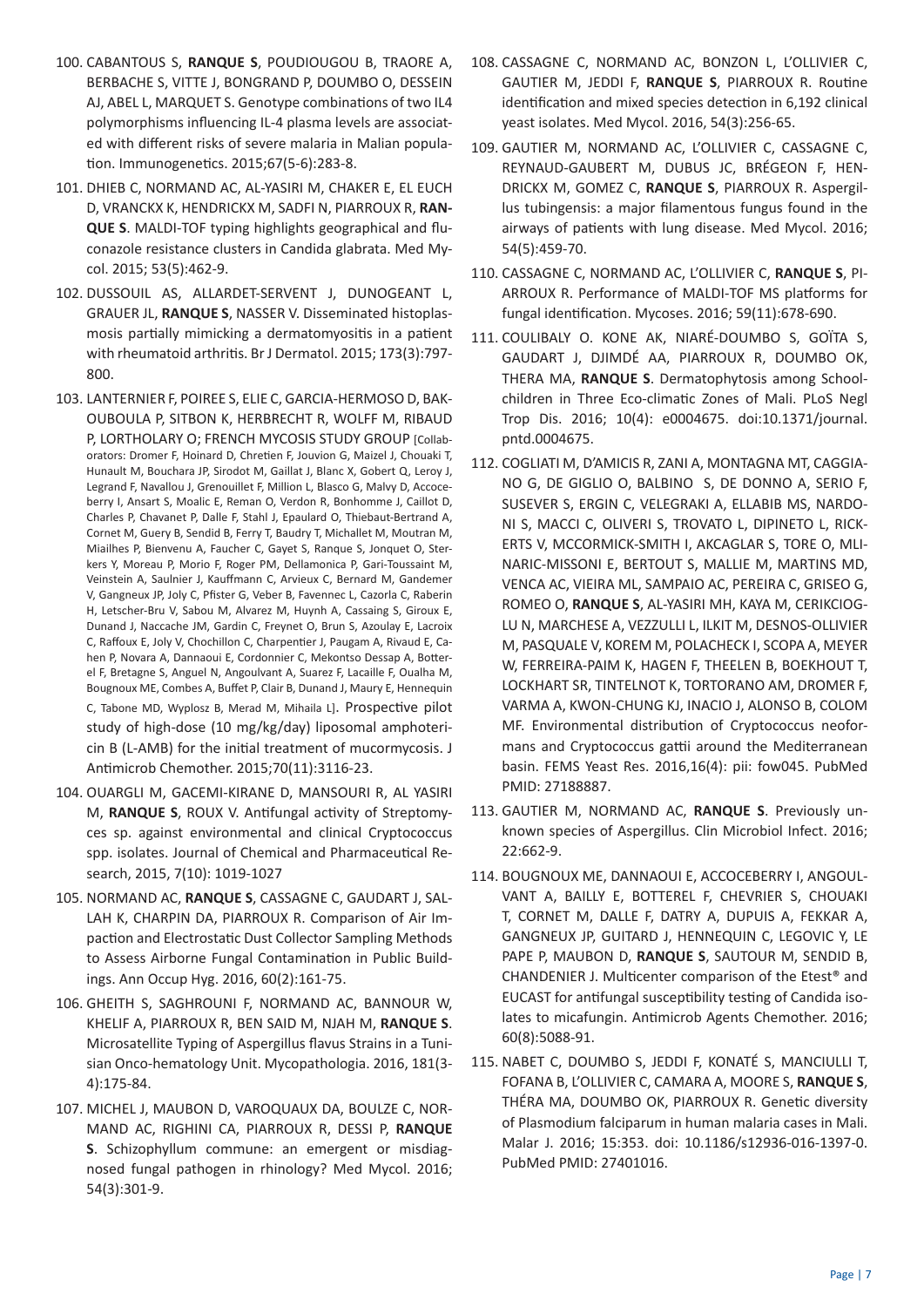- 100. CABANTOUS S, **RANQUE S**, POUDIOUGOU B, TRAORE A, BERBACHE S, VITTE J, BONGRAND P, DOUMBO O, DESSEIN AJ, ABEL L, MARQUET S. Genotype combinations of two IL4 polymorphisms influencing IL-4 plasma levels are associated with different risks of severe malaria in Malian population. Immunogenetics. 2015;67(5-6):283-8.
- 101. DHIEB C, NORMAND AC, AL-YASIRI M, CHAKER E, EL EUCH D, VRANCKX K, HENDRICKX M, SADFI N, PIARROUX R, **RAN-QUE S**. MALDI-TOF typing highlights geographical and fluconazole resistance clusters in Candida glabrata. Med Mycol. 2015; 53(5):462-9.
- 102. DUSSOUIL AS, ALLARDET-SERVENT J, DUNOGEANT L, GRAUER JL, **RANQUE S**, NASSER V. Disseminated histoplasmosis partially mimicking a dermatomyositis in a patient with rheumatoid arthritis. Br J Dermatol. 2015; 173(3):797- 800.
- 103. LANTERNIER F, POIREE S, ELIE C, GARCIA-HERMOSO D, BAK-OUBOULA P, SITBON K, HERBRECHT R, WOLFF M, RIBAUD P, LORTHOLARY O; FRENCH MYCOSIS STUDY GROUP [Collaborators: Dromer F, Hoinard D, Chretien F, Jouvion G, Maizel J, Chouaki T, Hunault M, Bouchara JP, Sirodot M, Gaillat J, Blanc X, Gobert Q, Leroy J, Legrand F, Navallou J, Grenouillet F, Million L, Blasco G, Malvy D, Accoceberry I, Ansart S, Moalic E, Reman O, Verdon R, Bonhomme J, Caillot D, Charles P, Chavanet P, Dalle F, Stahl J, Epaulard O, Thiebaut-Bertrand A, Cornet M, Guery B, Sendid B, Ferry T, Baudry T, Michallet M, Moutran M, Miailhes P, Bienvenu A, Faucher C, Gayet S, Ranque S, Jonquet O, Sterkers Y, Moreau P, Morio F, Roger PM, Dellamonica P, Gari-Toussaint M, Veinstein A, Saulnier J, Kauffmann C, Arvieux C, Bernard M, Gandemer V, Gangneux JP, Joly C, Pfister G, Veber B, Favennec L, Cazorla C, Raberin H, Letscher-Bru V, Sabou M, Alvarez M, Huynh A, Cassaing S, Giroux E, Dunand J, Naccache JM, Gardin C, Freynet O, Brun S, Azoulay E, Lacroix C, Raffoux E, Joly V, Chochillon C, Charpentier J, Paugam A, Rivaud E, Cahen P, Novara A, Dannaoui E, Cordonnier C, Mekontso Dessap A, Botterel F, Bretagne S, Anguel N, Angoulvant A, Suarez F, Lacaille F, Oualha M, Bougnoux ME, Combes A, Buffet P, Clair B, Dunand J, Maury E, Hennequin C, Tabone MD, Wyplosz B, Merad M, Mihaila L]. Prospective pilot study of high-dose (10 mg/kg/day) liposomal amphotericin B (L-AMB) for the initial treatment of mucormycosis. J Antimicrob Chemother. 2015;70(11):3116-23.
- 104. OUARGLI M, GACEMI-KIRANE D, MANSOURI R, AL YASIRI M, **RANQUE S**, ROUX V. Antifungal activity of Streptomyces sp. against environmental and clinical Cryptococcus spp. isolates. Journal of Chemical and Pharmaceutical Research, 2015, 7(10): 1019-1027
- 105. NORMAND AC, **RANQUE S**, CASSAGNE C, GAUDART J, SAL-LAH K, CHARPIN DA, PIARROUX R. Comparison of Air Impaction and Electrostatic Dust Collector Sampling Methods to Assess Airborne Fungal Contamination in Public Buildings. Ann Occup Hyg. 2016, 60(2):161-75.
- 106. GHEITH S, SAGHROUNI F, NORMAND AC, BANNOUR W, KHELIF A, PIARROUX R, BEN SAID M, NJAH M, **RANQUE S**. Microsatellite Typing of Aspergillus flavus Strains in a Tunisian Onco-hematology Unit. Mycopathologia. 2016, 181(3- 4):175-84.
- 107. MICHEL J, MAUBON D, VAROQUAUX DA, BOULZE C, NOR-MAND AC, RIGHINI CA, PIARROUX R, DESSI P, **RANQUE S**. Schizophyllum commune: an emergent or misdiagnosed fungal pathogen in rhinology? Med Mycol. 2016; 54(3):301-9.
- 108. CASSAGNE C, NORMAND AC, BONZON L, L'OLLIVIER C, GAUTIER M, JEDDI F, **RANQUE S**, PIARROUX R. Routine identification and mixed species detection in 6,192 clinical yeast isolates. Med Mycol. 2016, 54(3):256-65.
- 109. GAUTIER M, NORMAND AC, L'OLLIVIER C, CASSAGNE C, REYNAUD-GAUBERT M, DUBUS JC, BRÉGEON F, HEN-DRICKX M, GOMEZ C, **RANQUE S**, PIARROUX R. Aspergillus tubingensis: a major filamentous fungus found in the airways of patients with lung disease. Med Mycol. 2016; 54(5):459-70.
- 110. CASSAGNE C, NORMAND AC, L'OLLIVIER C, **RANQUE S**, PI-ARROUX R. Performance of MALDI-TOF MS platforms for fungal identification. Mycoses. 2016; 59(11):678-690.
- 111. COULIBALY O. KONE AK, NIARÉ-DOUMBO S, GOÏTA S, GAUDART J, DJIMDÉ AA, PIARROUX R, DOUMBO OK, THERA MA, **RANQUE S**. Dermatophytosis among Schoolchildren in Three Eco-climatic Zones of Mali. PLoS Negl Trop Dis. 2016; 10(4): e0004675. doi:10.1371/journal. pntd.0004675.
- 112. COGLIATI M, D'AMICIS R, ZANI A, MONTAGNA MT, CAGGIA-NO G, DE GIGLIO O, BALBINO S, DE DONNO A, SERIO F, SUSEVER S, ERGIN C, VELEGRAKI A, ELLABIB MS, NARDO-NI S, MACCI C, OLIVERI S, TROVATO L, DIPINETO L, RICK-ERTS V, MCCORMICK-SMITH I, AKCAGLAR S, TORE O, MLI-NARIC-MISSONI E, BERTOUT S, MALLIE M, MARTINS MD, VENCA AC, VIEIRA ML, SAMPAIO AC, PEREIRA C, GRISEO G, ROMEO O, **RANQUE S**, AL-YASIRI MH, KAYA M, CERIKCIOG-LU N, MARCHESE A, VEZZULLI L, ILKIT M, DESNOS-OLLIVIER M, PASQUALE V, KOREM M, POLACHECK I, SCOPA A, MEYER W, FERREIRA-PAIM K, HAGEN F, THEELEN B, BOEKHOUT T, LOCKHART SR, TINTELNOT K, TORTORANO AM, DROMER F, VARMA A, KWON-CHUNG KJ, INACIO J, ALONSO B, COLOM MF. Environmental distribution of Cryptococcus neoformans and Cryptococcus gattii around the Mediterranean basin. FEMS Yeast Res. 2016,16(4): pii: fow045. PubMed PMID: 27188887.
- 113. GAUTIER M, NORMAND AC, **RANQUE S**. Previously unknown species of Aspergillus. Clin Microbiol Infect. 2016; 22:662-9.
- 114. BOUGNOUX ME, DANNAOUI E, ACCOCEBERRY I, ANGOUL-VANT A, BAILLY E, BOTTEREL F, CHEVRIER S, CHOUAKI T, CORNET M, DALLE F, DATRY A, DUPUIS A, FEKKAR A, GANGNEUX JP, GUITARD J, HENNEQUIN C, LEGOVIC Y, LE PAPE P, MAUBON D, **RANQUE S**, SAUTOUR M, SENDID B, CHANDENIER J. Multicenter comparison of the Etest® and EUCAST for antifungal susceptibility testing of Candida isolates to micafungin. Antimicrob Agents Chemother. 2016; 60(8):5088-91.
- 115. NABET C, DOUMBO S, JEDDI F, KONATÉ S, MANCIULLI T, FOFANA B, L'OLLIVIER C, CAMARA A, MOORE S, **RANQUE S**, THÉRA MA, DOUMBO OK, PIARROUX R. Genetic diversity of Plasmodium falciparum in human malaria cases in Mali. Malar J. 2016; 15:353. doi: 10.1186/s12936-016-1397-0. PubMed PMID: 27401016.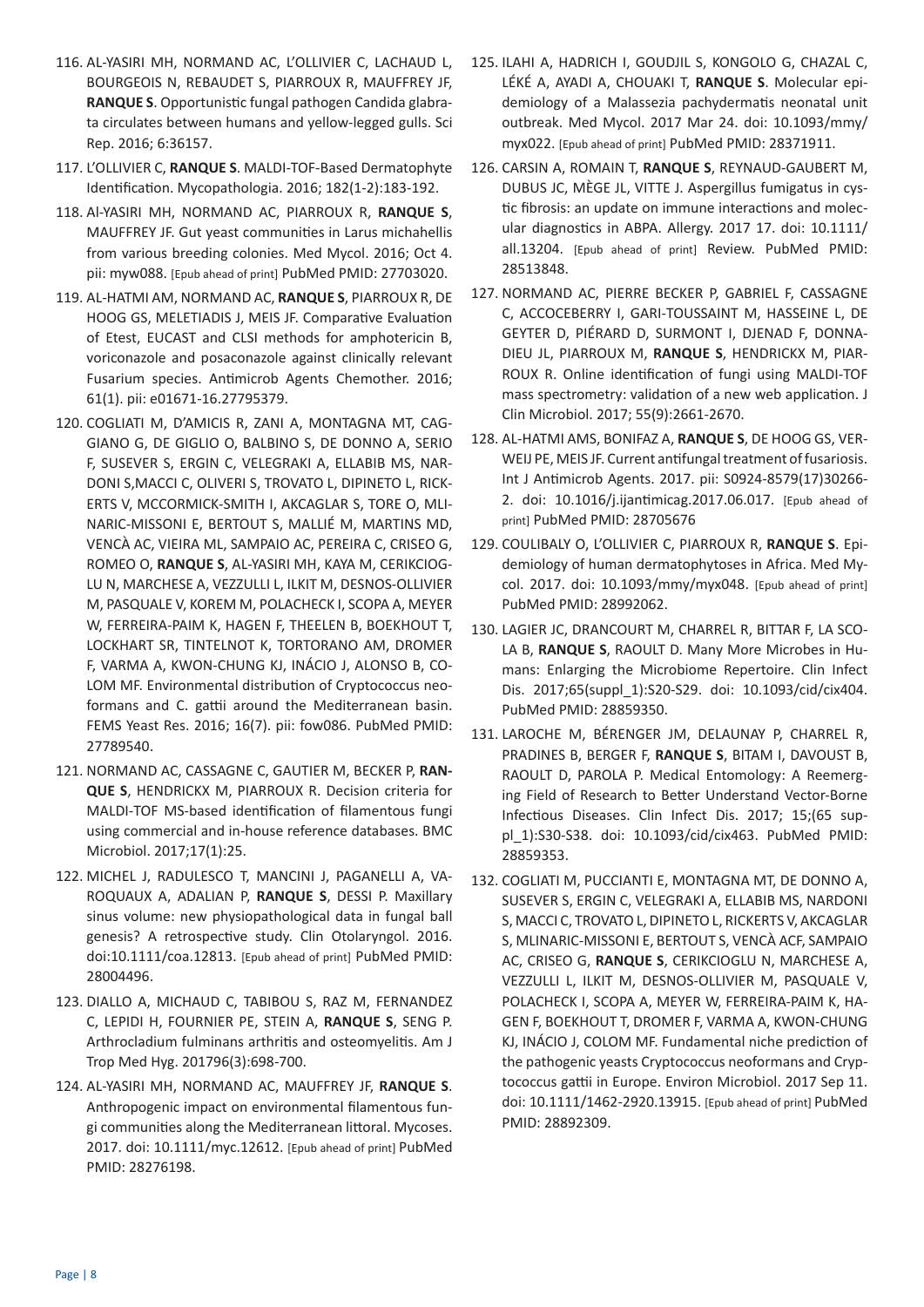- 116. AL-YASIRI MH, NORMAND AC, L'OLLIVIER C, LACHAUD L, BOURGEOIS N, REBAUDET S, PIARROUX R, MAUFFREY JF, **RANQUE S**. Opportunistic fungal pathogen Candida glabrata circulates between humans and yellow-legged gulls. Sci Rep. 2016; 6:36157.
- 117. L'OLLIVIER C, **RANQUE S**. MALDI-TOF-Based Dermatophyte Identification. Mycopathologia. 2016; 182(1-2):183-192.
- 118. Al-YASIRI MH, NORMAND AC, PIARROUX R, **RANQUE S**, MAUFFREY JF. Gut yeast communities in Larus michahellis from various breeding colonies. Med Mycol. 2016; Oct 4. pii: myw088. [Epub ahead of print] PubMed PMID: 27703020.
- 119. AL-HATMI AM, NORMAND AC, **RANQUE S**, PIARROUX R, DE HOOG GS, MELETIADIS J, MEIS JF. Comparative Evaluation of Etest, EUCAST and CLSI methods for amphotericin B, voriconazole and posaconazole against clinically relevant Fusarium species. Antimicrob Agents Chemother. 2016; 61(1). pii: e01671-16.27795379.
- 120. COGLIATI M, D'AMICIS R, ZANI A, MONTAGNA MT, CAG-GIANO G, DE GIGLIO O, BALBINO S, DE DONNO A, SERIO F, SUSEVER S, ERGIN C, VELEGRAKI A, ELLABIB MS, NAR-DONI S,MACCI C, OLIVERI S, TROVATO L, DIPINETO L, RICK-ERTS V, MCCORMICK-SMITH I, AKCAGLAR S, TORE O, MLI-NARIC-MISSONI E, BERTOUT S, MALLIÉ M, MARTINS MD, VENCÀ AC, VIEIRA ML, SAMPAIO AC, PEREIRA C, CRISEO G, ROMEO O, **RANQUE S**, AL-YASIRI MH, KAYA M, CERIKCIOG-LU N, MARCHESE A, VEZZULLI L, ILKIT M, DESNOS-OLLIVIER M, PASQUALE V, KOREM M, POLACHECK I, SCOPA A, MEYER W, FERREIRA-PAIM K, HAGEN F, THEELEN B, BOEKHOUT T, LOCKHART SR, TINTELNOT K, TORTORANO AM, DROMER F, VARMA A, KWON-CHUNG KJ, INÁCIO J, ALONSO B, CO-LOM MF. Environmental distribution of Cryptococcus neoformans and C. gattii around the Mediterranean basin. FEMS Yeast Res. 2016; 16(7). pii: fow086. PubMed PMID: 27789540.
- 121. NORMAND AC, CASSAGNE C, GAUTIER M, BECKER P, **RAN-QUE S**, HENDRICKX M, PIARROUX R. Decision criteria for MALDI-TOF MS-based identification of filamentous fungi using commercial and in-house reference databases. BMC Microbiol. 2017;17(1):25.
- 122. MICHEL J, RADULESCO T, MANCINI J, PAGANELLI A, VA-ROQUAUX A, ADALIAN P, **RANQUE S**, DESSI P. Maxillary sinus volume: new physiopathological data in fungal ball genesis? A retrospective study. Clin Otolaryngol. 2016. doi:10.1111/coa.12813. [Epub ahead of print] PubMed PMID: 28004496.
- 123. DIALLO A, MICHAUD C, TABIBOU S, RAZ M, FERNANDEZ C, LEPIDI H, FOURNIER PE, STEIN A, **RANQUE S**, SENG P. Arthrocladium fulminans arthritis and osteomyelitis. Am J Trop Med Hyg. 201796(3):698-700.
- 124. AL-YASIRI MH, NORMAND AC, MAUFFREY JF, **RANQUE S**. Anthropogenic impact on environmental filamentous fungi communities along the Mediterranean littoral. Mycoses. 2017. doi: 10.1111/myc.12612. [Epub ahead of print] PubMed PMID: 28276198.
- 125. ILAHI A, HADRICH I, GOUDJIL S, KONGOLO G, CHAZAL C, LÉKÉ A, AYADI A, CHOUAKI T, **RANQUE S**. Molecular epidemiology of a Malassezia pachydermatis neonatal unit outbreak. Med Mycol. 2017 Mar 24. doi: 10.1093/mmy/ myx022. [Epub ahead of print] PubMed PMID: 28371911.
- 126. CARSIN A, ROMAIN T, **RANQUE S**, REYNAUD-GAUBERT M, DUBUS JC, MÈGE JL, VITTE J. Aspergillus fumigatus in cystic fibrosis: an update on immune interactions and molecular diagnostics in ABPA. Allergy. 2017 17. doi: 10.1111/ all.13204. [Epub ahead of print] Review. PubMed PMID: 28513848.
- 127. NORMAND AC, PIERRE BECKER P, GABRIEL F, CASSAGNE C, ACCOCEBERRY I, GARI-TOUSSAINT M, HASSEINE L, DE GEYTER D, PIÉRARD D, SURMONT I, DJENAD F, DONNA-DIEU JL, PIARROUX M, **RANQUE S**, HENDRICKX M, PIAR-ROUX R. Online identification of fungi using MALDI-TOF mass spectrometry: validation of a new web application. J Clin Microbiol. 2017; 55(9):2661-2670.
- 128. AL-HATMI AMS, BONIFAZ A, **RANQUE S**, DE HOOG GS, VER-WEIJ PE, MEIS JF. Current antifungal treatment of fusariosis. Int J Antimicrob Agents. 2017. pii: S0924-8579(17)30266- 2. doi: 10.1016/j.ijantimicag.2017.06.017. [Epub ahead of print] PubMed PMID: 28705676
- 129. COULIBALY O, L'OLLIVIER C, PIARROUX R, **RANQUE S**. Epidemiology of human dermatophytoses in Africa. Med Mycol. 2017. doi: 10.1093/mmy/myx048. [Epub ahead of print] PubMed PMID: 28992062.
- 130. LAGIER JC, DRANCOURT M, CHARREL R, BITTAR F, LA SCO-LA B, **RANQUE S**, RAOULT D. Many More Microbes in Humans: Enlarging the Microbiome Repertoire. Clin Infect Dis. 2017;65(suppl\_1):S20-S29. doi: 10.1093/cid/cix404. PubMed PMID: 28859350.
- 131. LAROCHE M, BÉRENGER JM, DELAUNAY P, CHARREL R, PRADINES B, BERGER F, **RANQUE S**, BITAM I, DAVOUST B, RAOULT D, PAROLA P. Medical Entomology: A Reemerging Field of Research to Better Understand Vector-Borne Infectious Diseases. Clin Infect Dis. 2017; 15;(65 suppl\_1):S30-S38. doi: 10.1093/cid/cix463. PubMed PMID: 28859353.
- 132. COGLIATI M, PUCCIANTI E, MONTAGNA MT, DE DONNO A, SUSEVER S, ERGIN C, VELEGRAKI A, ELLABIB MS, NARDONI S, MACCI C, TROVATO L, DIPINETO L, RICKERTS V, AKCAGLAR S, MLINARIC-MISSONI E, BERTOUT S, VENCÀ ACF, SAMPAIO AC, CRISEO G, **RANQUE S**, CERIKCIOGLU N, MARCHESE A, VEZZULLI L, ILKIT M, DESNOS-OLLIVIER M, PASQUALE V, POLACHECK I, SCOPA A, MEYER W, FERREIRA-PAIM K, HA-GEN F, BOEKHOUT T, DROMER F, VARMA A, KWON-CHUNG KJ, INÁCIO J, COLOM MF. Fundamental niche prediction of the pathogenic yeasts Cryptococcus neoformans and Cryptococcus gattii in Europe. Environ Microbiol. 2017 Sep 11. doi: 10.1111/1462-2920.13915. [Epub ahead of print] PubMed PMID: 28892309.